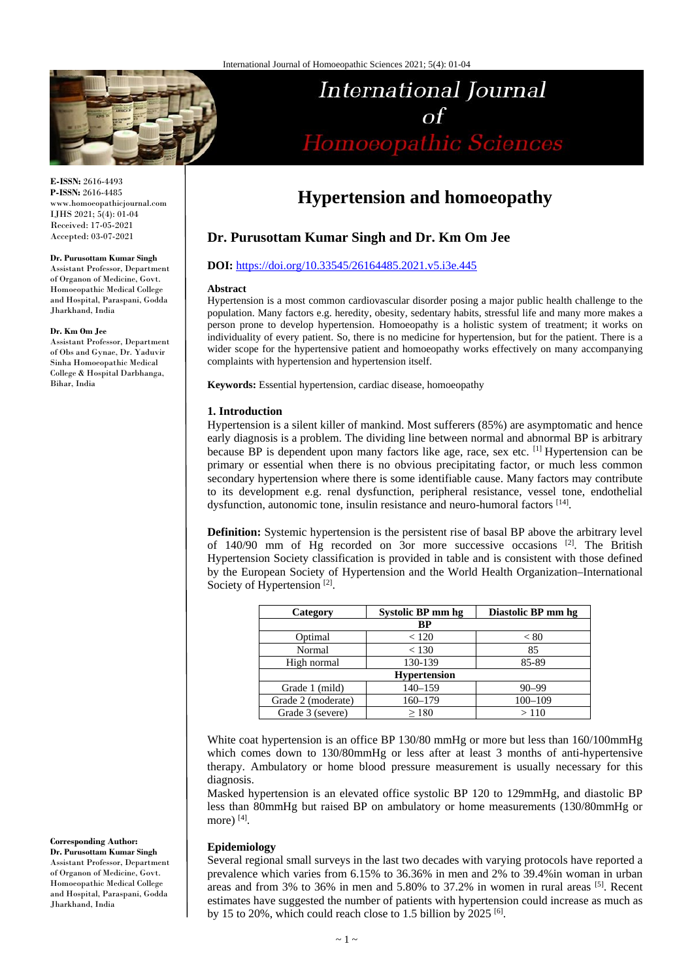

#### **E-ISSN:** 2616-4493 **P-ISSN:** 2616-4485 www.homoeopathicjournal.com IJHS 2021; 5(4): 01-04 Received: 17-05-2021 Accepted: 03-07-2021

#### **Dr. Purusottam Kumar Singh**

Assistant Professor, Department of Organon of Medicine, Govt. Homoeopathic Medical College and Hospital, Paraspani, Godda Jharkhand, India

#### **Dr. Km Om Jee**

Assistant Professor, Department of Obs and Gynae, Dr. Yaduvir Sinha Homoeopathic Medical College & Hospital Darbhanga, Bihar, India

**Corresponding Author:**

**Dr. Purusottam Kumar Singh** Assistant Professor, Department of Organon of Medicine, Govt. Homoeopathic Medical College and Hospital, Paraspani, Godda Jharkhand, India

# **Hypertension and homoeopathy**

International Journal

 $\sigma f$ 

Homoeopathic Sciences

# **Dr. Purusottam Kumar Singh and Dr. Km Om Jee**

# **DOI:** <https://doi.org/10.33545/26164485.2021.v5.i3e.445>

#### **Abstract**

Hypertension is a most common cardiovascular disorder posing a major public health challenge to the population. Many factors e.g. heredity, obesity, sedentary habits, stressful life and many more makes a person prone to develop hypertension. Homoeopathy is a holistic system of treatment; it works on individuality of every patient. So, there is no medicine for hypertension, but for the patient. There is a wider scope for the hypertensive patient and homoeopathy works effectively on many accompanying complaints with hypertension and hypertension itself.

**Keywords:** Essential hypertension, cardiac disease, homoeopathy

## **1. Introduction**

Hypertension is a silent killer of mankind. Most sufferers (85%) are asymptomatic and hence early diagnosis is a problem. The dividing line between normal and abnormal BP is arbitrary because BP is dependent upon many factors like age, race, sex etc. [1] Hypertension can be primary or essential when there is no obvious precipitating factor, or much less common secondary hypertension where there is some identifiable cause. Many factors may contribute to its development e.g. renal dysfunction, peripheral resistance, vessel tone, endothelial dysfunction, autonomic tone, insulin resistance and neuro-humoral factors [14].

**Definition:** Systemic hypertension is the persistent rise of basal BP above the arbitrary level of 140/90 mm of Hg recorded on 3or more successive occasions  $[2]$ . The British Hypertension Society classification is provided in table and is consistent with those defined by the European Society of Hypertension and the World Health Organization–International Society of Hypertension<sup>[2]</sup>.

| Category           | Systolic BP mm hg | Diastolic BP mm hg |  |
|--------------------|-------------------|--------------------|--|
| BP                 |                   |                    |  |
| Optimal            | < 120             | < 80               |  |
| Normal             | < 130             | 85                 |  |
| High normal        | 130-139           | 85-89              |  |
| Hypertension       |                   |                    |  |
| Grade 1 (mild)     | $140 - 159$       | $90 - 99$          |  |
| Grade 2 (moderate) | $160 - 179$       | $100 - 109$        |  |
| Grade 3 (severe)   | >180              | >110               |  |

White coat hypertension is an office BP 130/80 mmHg or more but less than  $160/100$ mmHg which comes down to 130/80mmHg or less after at least 3 months of anti-hypertensive therapy. Ambulatory or home blood pressure measurement is usually necessary for this diagnosis.

Masked hypertension is an elevated office systolic BP 120 to 129mmHg, and diastolic BP less than 80mmHg but raised BP on ambulatory or home measurements (130/80mmHg or more)  $[4]$ .

#### **Epidemiology**

Several regional small surveys in the last two decades with varying protocols have reported a prevalence which varies from 6.15% to 36.36% in men and 2% to 39.4%in woman in urban areas and from 3% to 36% in men and 5.80% to 37.2% in women in rural areas  $[5]$ . Recent estimates have suggested the number of patients with hypertension could increase as much as by 15 to 20%, which could reach close to 1.5 billion by 2025  $^{[6]}$ .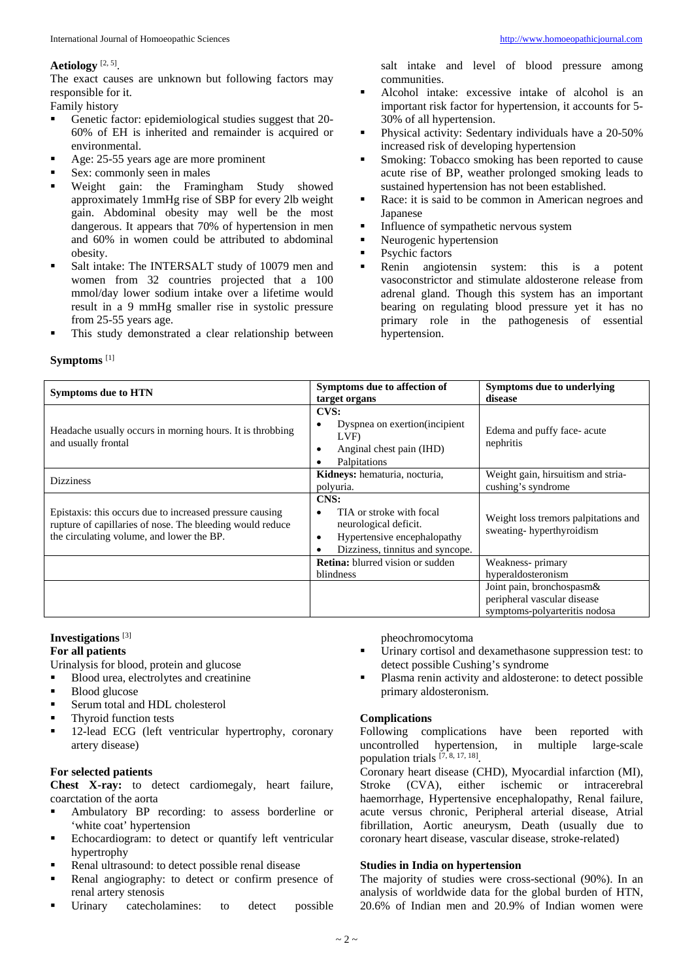# **Aetiology** [2, 5].

The exact causes are unknown but following factors may responsible for it.

Family history

- Genetic factor: epidemiological studies suggest that 20-60% of EH is inherited and remainder is acquired or environmental.
- Age: 25-55 years age are more prominent
- Sex: commonly seen in males
- Weight gain: the Framingham Study showed approximately 1mmHg rise of SBP for every 2lb weight gain. Abdominal obesity may well be the most dangerous. It appears that 70% of hypertension in men and 60% in women could be attributed to abdominal obesity.
- Salt intake: The INTERSALT study of 10079 men and women from 32 countries projected that a 100 mmol/day lower sodium intake over a lifetime would result in a 9 mmHg smaller rise in systolic pressure from 25-55 years age.
- This study demonstrated a clear relationship between

salt intake and level of blood pressure among communities.

- Alcohol intake: excessive intake of alcohol is an important risk factor for hypertension, it accounts for 5- 30% of all hypertension.
- Physical activity: Sedentary individuals have a 20-50% increased risk of developing hypertension
- **Smoking: Tobacco smoking has been reported to cause** acute rise of BP, weather prolonged smoking leads to sustained hypertension has not been established.
- Race: it is said to be common in American negroes and Japanese
- Influence of sympathetic nervous system
- Neurogenic hypertension
- **•** Psychic factors
- Renin angiotensin system: this is a potent vasoconstrictor and stimulate aldosterone release from adrenal gland. Though this system has an important bearing on regulating blood pressure yet it has no primary role in the pathogenesis of essential hypertension.

## **Symptoms** [1]

| <b>Symptoms due to HTN</b>                                                                                                                                         | Symptoms due to affection of                                                                                                           | Symptoms due to underlying                                                                |
|--------------------------------------------------------------------------------------------------------------------------------------------------------------------|----------------------------------------------------------------------------------------------------------------------------------------|-------------------------------------------------------------------------------------------|
|                                                                                                                                                                    | target organs                                                                                                                          | disease                                                                                   |
| Headache usually occurs in morning hours. It is throbbing<br>and usually frontal                                                                                   | <b>CVS:</b><br>Dyspnea on exertion (incipient<br>٠<br>LVF)<br>Anginal chest pain (IHD)<br>٠<br>Palpitations                            | Edema and puffy face- acute<br>nephritis                                                  |
| <b>Dizziness</b>                                                                                                                                                   | Kidneys: hematuria, nocturia,<br>polyuria.                                                                                             | Weight gain, hirsuitism and stria-<br>cushing's syndrome                                  |
| Epistaxis: this occurs due to increased pressure causing<br>rupture of capillaries of nose. The bleeding would reduce<br>the circulating volume, and lower the BP. | CNS:<br>TIA or stroke with focal<br>٠<br>neurological deficit.<br>Hypertensive encephalopathy<br>٠<br>Dizziness, tinnitus and syncope. | Weight loss tremors palpitations and<br>sweating-hyperthyroidism                          |
|                                                                                                                                                                    | <b>Retina:</b> blurred vision or sudden<br>blindness                                                                                   | Weakness- primary<br>hyperaldosteronism                                                   |
|                                                                                                                                                                    |                                                                                                                                        | Joint pain, bronchospasm&<br>peripheral vascular disease<br>symptoms-polyarteritis nodosa |

#### **Investigations** [3]

## **For all patients**

Urinalysis for blood, protein and glucose

- **Blood urea, electrolytes and creatinine**
- **Blood glucose**
- Serum total and HDL cholesterol
- **Thyroid function tests**
- <sup>1</sup> 12-lead ECG (left ventricular hypertrophy, coronary artery disease)

# **For selected patients**

**Chest X-ray:** to detect cardiomegaly, heart failure, coarctation of the aorta

- Ambulatory BP recording: to assess borderline or 'white coat' hypertension
- **Echocardiogram:** to detect or quantify left ventricular hypertrophy
- Renal ultrasound: to detect possible renal disease
- Renal angiography: to detect or confirm presence of renal artery stenosis
- Urinary catecholamines: to detect possible

pheochromocytoma

- Urinary cortisol and dexamethasone suppression test: to detect possible Cushing's syndrome
- Plasma renin activity and aldosterone: to detect possible primary aldosteronism.

## **Complications**

Following complications have been reported with uncontrolled hypertension, in multiple large-scale  $uncontrolled$  hypertension, in population trials  $[7, 8, 17, 18]$ .

Coronary heart disease (CHD), Myocardial infarction (MI),<br>Stroke (CVA), either ischemic or intracerebral either ischemic or intracerebral haemorrhage, Hypertensive encephalopathy, Renal failure, acute versus chronic, Peripheral arterial disease, Atrial fibrillation, Aortic aneurysm, Death (usually due to coronary heart disease, vascular disease, stroke-related)

#### **Studies in India on hypertension**

The majority of studies were cross-sectional (90%). In an analysis of worldwide data for the global burden of HTN, 20.6% of Indian men and 20.9% of Indian women were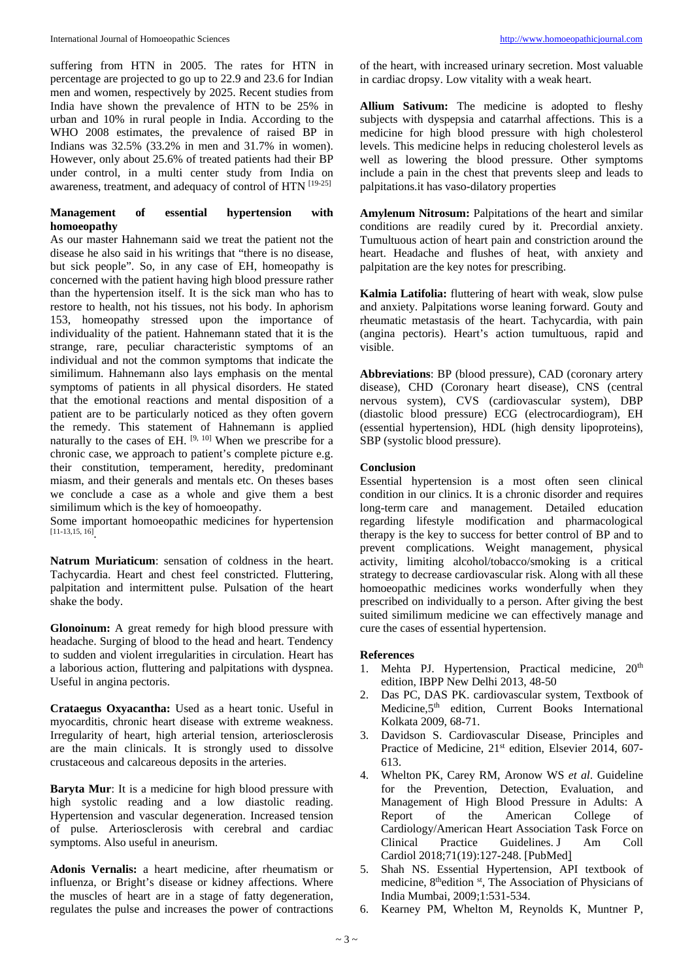suffering from HTN in 2005. The rates for HTN in percentage are projected to go up to 22.9 and 23.6 for Indian men and women, respectively by 2025. Recent studies from India have shown the prevalence of HTN to be 25% in urban and 10% in rural people in India. According to the WHO 2008 estimates, the prevalence of raised BP in Indians was 32.5% (33.2% in men and 31.7% in women). However, only about 25.6% of treated patients had their BP under control, in a multi center study from India on awareness, treatment, and adequacy of control of HTN [19-25]

# **Management of essential hypertension with homoeopathy**

As our master Hahnemann said we treat the patient not the disease he also said in his writings that "there is no disease, but sick people". So, in any case of EH, homeopathy is concerned with the patient having high blood pressure rather than the hypertension itself. It is the sick man who has to restore to health, not his tissues, not his body. In aphorism 153, homeopathy stressed upon the importance of individuality of the patient. Hahnemann stated that it is the strange, rare, peculiar characteristic symptoms of an individual and not the common symptoms that indicate the similimum. Hahnemann also lays emphasis on the mental symptoms of patients in all physical disorders. He stated that the emotional reactions and mental disposition of a patient are to be particularly noticed as they often govern the remedy. This statement of Hahnemann is applied naturally to the cases of EH.  $[9, 10]$  When we prescribe for a chronic case, we approach to patient's complete picture e.g. their constitution, temperament, heredity, predominant miasm, and their generals and mentals etc. On theses bases we conclude a case as a whole and give them a best similimum which is the key of homoeopathy.

Some important homoeopathic medicines for hypertension [11-13,15, 16].

**Natrum Muriaticum**: sensation of coldness in the heart. Tachycardia. Heart and chest feel constricted. Fluttering, palpitation and intermittent pulse. Pulsation of the heart shake the body.

**Glonoinum:** A great remedy for high blood pressure with headache. Surging of blood to the head and heart. Tendency to sudden and violent irregularities in circulation. Heart has a laborious action, fluttering and palpitations with dyspnea. Useful in angina pectoris.

**Crataegus Oxyacantha:** Used as a heart tonic. Useful in myocarditis, chronic heart disease with extreme weakness. Irregularity of heart, high arterial tension, arteriosclerosis are the main clinicals. It is strongly used to dissolve crustaceous and calcareous deposits in the arteries.

**Baryta Mur**: It is a medicine for high blood pressure with high systolic reading and a low diastolic reading. Hypertension and vascular degeneration. Increased tension of pulse. Arteriosclerosis with cerebral and cardiac symptoms. Also useful in aneurism.

**Adonis Vernalis:** a heart medicine, after rheumatism or influenza, or Bright's disease or kidney affections. Where the muscles of heart are in a stage of fatty degeneration, regulates the pulse and increases the power of contractions

of the heart, with increased urinary secretion. Most valuable in cardiac dropsy. Low vitality with a weak heart.

**Allium Sativum:** The medicine is adopted to fleshy subjects with dyspepsia and catarrhal affections. This is a medicine for high blood pressure with high cholesterol levels. This medicine helps in reducing cholesterol levels as well as lowering the blood pressure. Other symptoms include a pain in the chest that prevents sleep and leads to palpitations.it has vaso-dilatory properties

**Amylenum Nitrosum:** Palpitations of the heart and similar conditions are readily cured by it. Precordial anxiety. Tumultuous action of heart pain and constriction around the heart. Headache and flushes of heat, with anxiety and palpitation are the key notes for prescribing.

**Kalmia Latifolia:** fluttering of heart with weak, slow pulse and anxiety. Palpitations worse leaning forward. Gouty and rheumatic metastasis of the heart. Tachycardia, with pain (angina pectoris). Heart's action tumultuous, rapid and visible.

**Abbreviations**: BP (blood pressure), CAD (coronary artery disease), CHD (Coronary heart disease), CNS (central nervous system), CVS (cardiovascular system), DBP (diastolic blood pressure) ECG (electrocardiogram), EH (essential hypertension), HDL (high density lipoproteins), SBP (systolic blood pressure).

# **Conclusion**

Essential hypertension is a most often seen clinical condition in our clinics. It is a chronic disorder and requires long-term care and management. Detailed education regarding lifestyle modification and pharmacological therapy is the key to success for better control of BP and to prevent complications. Weight management, physical activity, limiting alcohol/tobacco/smoking is a critical strategy to decrease cardiovascular risk. Along with all these homoeopathic medicines works wonderfully when they prescribed on individually to a person. After giving the best suited similimum medicine we can effectively manage and cure the cases of essential hypertension.

# **References**

- 1. Mehta PJ. Hypertension, Practical medicine, 20<sup>th</sup> edition, IBPP New Delhi 2013, 48-50
- 2. Das PC, DAS PK. cardiovascular system, Textbook of Medicine, $5<sup>th</sup>$  edition, Current Books International Kolkata 2009, 68-71.
- 3. Davidson S. Cardiovascular Disease, Principles and Practice of Medicine, 21<sup>st</sup> edition, Elsevier 2014, 607-613.
- 4. Whelton PK, Carey RM, Aronow WS *et al*. Guideline for the Prevention, Detection, Evaluation, and Management of High Blood Pressure in Adults: A Report of the American College of Cardiology/American Heart Association Task Force on Clinical Practice Guidelines. J Am Coll Cardiol 2018;71(19):127-248. [PubMed]
- 5. Shah NS. Essential Hypertension, API textbook of medicine, 8<sup>th</sup>edition st, The Association of Physicians of India Mumbai, 2009;1:531-534.
- 6. Kearney PM, Whelton M, Reynolds K, Muntner P,